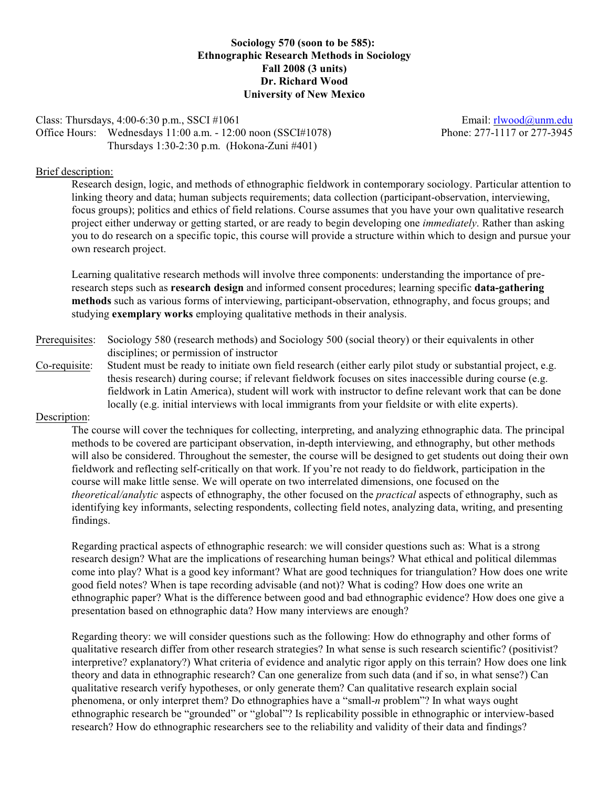**Sociology 570 (soon to be 585): Ethnographic Research Methods in Sociology Fall 2008 (3 units) Dr. Richard Wood University of New Mexico**

# Class: Thursdays, 4:00-6:30 p.m., SSCI #1061 email: [rlwood@unm.edu](mailto:rlwood@unm.edu) Email: rlwood@unm.edu Office Hours: Wednesdays 11:00 a.m. - 12:00 noon (SSCI#1078) Phone: 277-1117 or 277-3945 Thursdays 1:30-2:30 p.m. (Hokona-Zuni #401)

## Brief description:

Research design, logic, and methods of ethnographic fieldwork in contemporary sociology. Particular attention to linking theory and data; human subjects requirements; data collection (participant-observation, interviewing, focus groups); politics and ethics of field relations. Course assumes that you have your own qualitative research project either underway or getting started, or are ready to begin developing one *immediately*. Rather than asking you to do research on a specific topic, this course will provide a structure within which to design and pursue your own research project.

Learning qualitative research methods will involve three components: understanding the importance of preresearch steps such as **research design** and informed consent procedures; learning specific **data-gathering methods** such as various forms of interviewing, participant-observation, ethnography, and focus groups; and studying **exemplary works** employing qualitative methods in their analysis.

- Prerequisites: Sociology 580 (research methods) and Sociology 500 (social theory) or their equivalents in other disciplines; or permission of instructor
- Co-requisite: Student must be ready to initiate own field research (either early pilot study or substantial project, e.g. thesis research) during course; if relevant fieldwork focuses on sites inaccessible during course (e.g. fieldwork in Latin America), student will work with instructor to define relevant work that can be done locally (e.g. initial interviews with local immigrants from your fieldsite or with elite experts).

# Description:

The course will cover the techniques for collecting, interpreting, and analyzing ethnographic data. The principal methods to be covered are participant observation, in-depth interviewing, and ethnography, but other methods will also be considered. Throughout the semester, the course will be designed to get students out doing their own fieldwork and reflecting self-critically on that work. If you're not ready to do fieldwork, participation in the course will make little sense. We will operate on two interrelated dimensions, one focused on the *theoretical/analytic* aspects of ethnography, the other focused on the *practical* aspects of ethnography, such as identifying key informants, selecting respondents, collecting field notes, analyzing data, writing, and presenting findings.

Regarding practical aspects of ethnographic research: we will consider questions such as: What is a strong research design? What are the implications of researching human beings? What ethical and political dilemmas come into play? What is a good key informant? What are good techniques for triangulation? How does one write good field notes? When is tape recording advisable (and not)? What is coding? How does one write an ethnographic paper? What is the difference between good and bad ethnographic evidence? How does one give a presentation based on ethnographic data? How many interviews are enough?

Regarding theory: we will consider questions such as the following: How do ethnography and other forms of qualitative research differ from other research strategies? In what sense is such research scientific? (positivist? interpretive? explanatory?) What criteria of evidence and analytic rigor apply on this terrain? How does one link theory and data in ethnographic research? Can one generalize from such data (and if so, in what sense?) Can qualitative research verify hypotheses, or only generate them? Can qualitative research explain social phenomena, or only interpret them? Do ethnographies have a "small-*n* problem"? In what ways ought ethnographic research be "grounded" or "global"? Is replicability possible in ethnographic or interview-based research? How do ethnographic researchers see to the reliability and validity of their data and findings?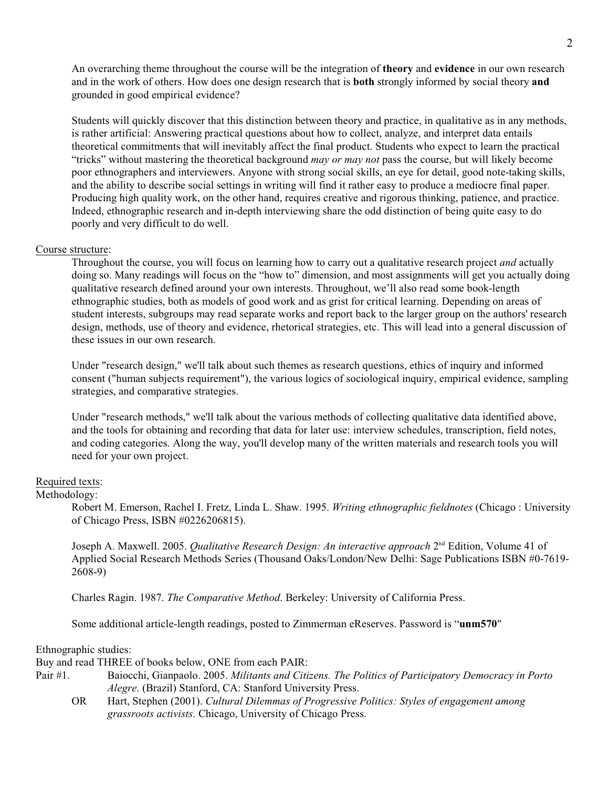An overarching theme throughout the course will be the integration of **theory** and **evidence** in our own research and in the work of others. How does one design research that is **both** strongly informed by social theory **and** grounded in good empirical evidence?

Students will quickly discover that this distinction between theory and practice, in qualitative as in any methods, is rather artificial: Answering practical questions about how to collect, analyze, and interpret data entails theoretical commitments that will inevitably affect the final product. Students who expect to learn the practical "tricks" without mastering the theoretical background *may or may not* pass the course, but will likely become poor ethnographers and interviewers. Anyone with strong social skills, an eye for detail, good note-taking skills, and the ability to describe social settings in writing will find it rather easy to produce a mediocre final paper. Producing high quality work, on the other hand, requires creative and rigorous thinking, patience, and practice. Indeed, ethnographic research and in-depth interviewing share the odd distinction of being quite easy to do poorly and very difficult to do well.

## Course structure:

Throughout the course, you will focus on learning how to carry out a qualitative research project *and* actually doing so. Many readings will focus on the "how to" dimension, and most assignments will get you actually doing qualitative research defined around your own interests. Throughout, we'll also read some book-length ethnographic studies, both as models of good work and as grist for critical learning. Depending on areas of student interests, subgroups may read separate works and report back to the larger group on the authors' research design, methods, use of theory and evidence, rhetorical strategies, etc. This will lead into a general discussion of these issues in our own research.

Under "research design," we'll talk about such themes as research questions, ethics of inquiry and informed consent ("human subjects requirement"), the various logics of sociological inquiry, empirical evidence, sampling strategies, and comparative strategies.

Under "research methods," we'll talk about the various methods of collecting qualitative data identified above, and the tools for obtaining and recording that data for later use: interview schedules, transcription, field notes, and coding categories. Along the way, you'll develop many of the written materials and research tools you will need for your own project.

## Required texts:

### Methodology:

Robert M. Emerson, Rachel I. Fretz, Linda L. Shaw. 1995. *Writing ethnographic fieldnotes* (Chicago : University of Chicago Press, ISBN #0226206815).

Joseph A. Maxwell. 2005. *Qualitative Research Design: An interactive approach* 2<sup>nd</sup> Edition, Volume 41 of Applied Social Research Methods Series (Thousand Oaks/London/New Delhi: Sage Publications ISBN #0-7619- 2608-9)

Charles Ragin. 1987. *The Comparative Method*. Berkeley: University of California Press.

Some additional article-length readings, posted to Zimmerman eReserves. Password is "**unm570**"

### Ethnographic studies:

Buy and read THREE of books below, ONE from each PAIR:

- Pair #1. Baiocchi, Gianpaolo. 2005. *Militants and Citizens. The Politics of Participatory Democracy in Porto Alegre*. (Brazil) Stanford, CA: Stanford University Press.
	- OR Hart, Stephen (2001). *Cultural Dilemmas of Progressive Politics: Styles of engagement among grassroots activists*. Chicago, University of Chicago Press.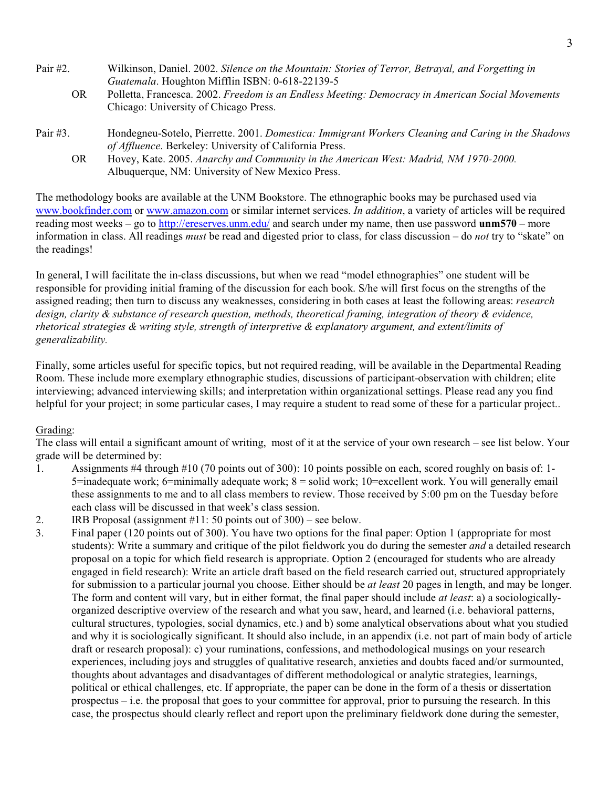| Pair $#2$ . | Wilkinson, Daniel. 2002. Silence on the Mountain: Stories of Terror, Betrayal, and Forgetting in   |  |  |
|-------------|----------------------------------------------------------------------------------------------------|--|--|
|             | Guatemala. Houghton Mifflin ISBN: 0-618-22139-5                                                    |  |  |
| OR.         | Polletta, Francesca. 2002. Freedom is an Endless Meeting: Democracy in American Social Movements   |  |  |
|             | Chicago: University of Chicago Press.                                                              |  |  |
| Pair $#3$ . | Hondegneu-Sotelo, Pierrette. 2001. Domestica: Immigrant Workers Cleaning and Caring in the Shadows |  |  |
|             | of Affluence. Berkeley: University of California Press.                                            |  |  |
| OR.         | Hovey, Kate. 2005. Anarchy and Community in the American West: Madrid, NM 1970-2000.               |  |  |
|             | Albuquerque, NM: University of New Mexico Press.                                                   |  |  |

The methodology books are available at the UNM Bookstore. The ethnographic books may be purchased used via [www.bookfinder.com](http://www.bookfinder.com) or [www.amazon.com](http://www.amazon.com) or similar internet services. *In addition*, a variety of articles will be required reading most weeks – go to<http://ereserves.unm.edu/> and search under my name, then use password **unm570** – more information in class. All readings *must* be read and digested prior to class, for class discussion – do *not* try to "skate" on the readings!

In general, I will facilitate the in-class discussions, but when we read "model ethnographies" one student will be responsible for providing initial framing of the discussion for each book. S/he will first focus on the strengths of the assigned reading; then turn to discuss any weaknesses, considering in both cases at least the following areas: *research design, clarity & substance of research question, methods, theoretical framing, integration of theory & evidence, rhetorical strategies & writing style, strength of interpretive & explanatory argument, and extent/limits of generalizability.*

Finally, some articles useful for specific topics, but not required reading, will be available in the Departmental Reading Room. These include more exemplary ethnographic studies, discussions of participant-observation with children; elite interviewing; advanced interviewing skills; and interpretation within organizational settings. Please read any you find helpful for your project; in some particular cases, I may require a student to read some of these for a particular project..

# Grading:

The class will entail a significant amount of writing, most of it at the service of your own research – see list below. Your grade will be determined by:

- 1. Assignments #4 through #10 (70 points out of 300): 10 points possible on each, scored roughly on basis of: 1- 5=inadequate work; 6=minimally adequate work; 8 = solid work; 10=excellent work. You will generally email these assignments to me and to all class members to review. Those received by 5:00 pm on the Tuesday before each class will be discussed in that week's class session.
- 2. IRB Proposal (assignment #11: 50 points out of 300) see below.
- 3. Final paper (120 points out of 300). You have two options for the final paper: Option 1 (appropriate for most students): Write a summary and critique of the pilot fieldwork you do during the semester *and* a detailed research proposal on a topic for which field research is appropriate. Option 2 (encouraged for students who are already engaged in field research): Write an article draft based on the field research carried out, structured appropriately for submission to a particular journal you choose. Either should be *at least* 20 pages in length, and may be longer. The form and content will vary, but in either format, the final paper should include *at least*: a) a sociologicallyorganized descriptive overview of the research and what you saw, heard, and learned (i.e. behavioral patterns, cultural structures, typologies, social dynamics, etc.) and b) some analytical observations about what you studied and why it is sociologically significant. It should also include, in an appendix (i.e. not part of main body of article draft or research proposal): c) your ruminations, confessions, and methodological musings on your research experiences, including joys and struggles of qualitative research, anxieties and doubts faced and/or surmounted, thoughts about advantages and disadvantages of different methodological or analytic strategies, learnings, political or ethical challenges, etc. If appropriate, the paper can be done in the form of a thesis or dissertation prospectus – i.e. the proposal that goes to your committee for approval, prior to pursuing the research. In this case, the prospectus should clearly reflect and report upon the preliminary fieldwork done during the semester,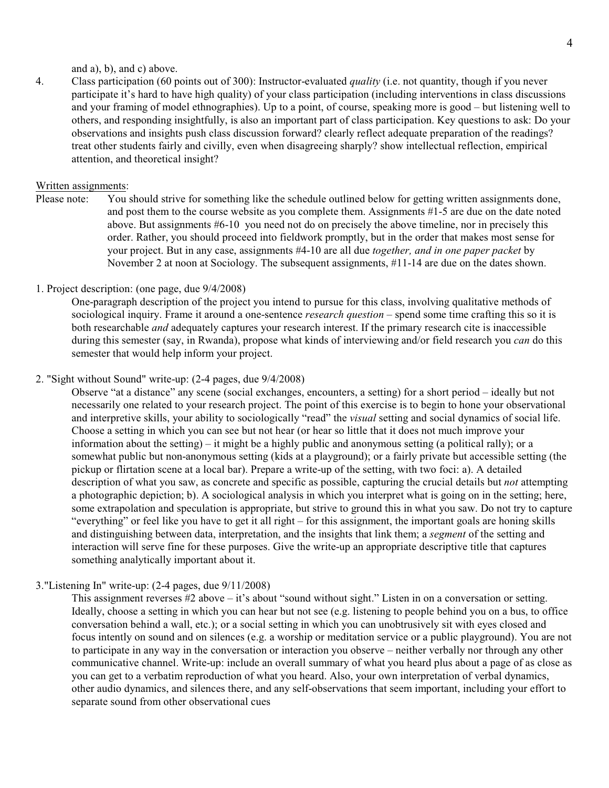and a), b), and c) above.

4. Class participation (60 points out of 300): Instructor-evaluated *quality* (i.e. not quantity, though if you never participate it's hard to have high quality) of your class participation (including interventions in class discussions and your framing of model ethnographies). Up to a point, of course, speaking more is good – but listening well to others, and responding insightfully, is also an important part of class participation. Key questions to ask: Do your observations and insights push class discussion forward? clearly reflect adequate preparation of the readings? treat other students fairly and civilly, even when disagreeing sharply? show intellectual reflection, empirical attention, and theoretical insight?

## Written assignments:

Please note: You should strive for something like the schedule outlined below for getting written assignments done, and post them to the course website as you complete them. Assignments #1-5 are due on the date noted above. But assignments #6-10 you need not do on precisely the above timeline, nor in precisely this order. Rather, you should proceed into fieldwork promptly, but in the order that makes most sense for your project. But in any case, assignments #4-10 are all due *together, and in one paper packet* by November 2 at noon at Sociology. The subsequent assignments, #11-14 are due on the dates shown.

# 1. Project description: (one page, due 9/4/2008)

One-paragraph description of the project you intend to pursue for this class, involving qualitative methods of sociological inquiry. Frame it around a one-sentence *research question* – spend some time crafting this so it is both researchable *and* adequately captures your research interest. If the primary research cite is inaccessible during this semester (say, in Rwanda), propose what kinds of interviewing and/or field research you *can* do this semester that would help inform your project.

## 2. "Sight without Sound" write-up: (2-4 pages, due 9/4/2008)

Observe "at a distance" any scene (social exchanges, encounters, a setting) for a short period – ideally but not necessarily one related to your research project. The point of this exercise is to begin to hone your observational and interpretive skills, your ability to sociologically "read" the *visual* setting and social dynamics of social life. Choose a setting in which you can see but not hear (or hear so little that it does not much improve your information about the setting) – it might be a highly public and anonymous setting (a political rally); or a somewhat public but non-anonymous setting (kids at a playground); or a fairly private but accessible setting (the pickup or flirtation scene at a local bar). Prepare a write-up of the setting, with two foci: a). A detailed description of what you saw, as concrete and specific as possible, capturing the crucial details but *not* attempting a photographic depiction; b). A sociological analysis in which you interpret what is going on in the setting; here, some extrapolation and speculation is appropriate, but strive to ground this in what you saw. Do not try to capture "everything" or feel like you have to get it all right – for this assignment, the important goals are honing skills and distinguishing between data, interpretation, and the insights that link them; a *segment* of the setting and interaction will serve fine for these purposes. Give the write-up an appropriate descriptive title that captures something analytically important about it.

## 3."Listening In" write-up: (2-4 pages, due 9/11/2008)

This assignment reverses #2 above – it's about "sound without sight." Listen in on a conversation or setting. Ideally, choose a setting in which you can hear but not see (e.g. listening to people behind you on a bus, to office conversation behind a wall, etc.); or a social setting in which you can unobtrusively sit with eyes closed and focus intently on sound and on silences (e.g. a worship or meditation service or a public playground). You are not to participate in any way in the conversation or interaction you observe – neither verbally nor through any other communicative channel. Write-up: include an overall summary of what you heard plus about a page of as close as you can get to a verbatim reproduction of what you heard. Also, your own interpretation of verbal dynamics, other audio dynamics, and silences there, and any self-observations that seem important, including your effort to separate sound from other observational cues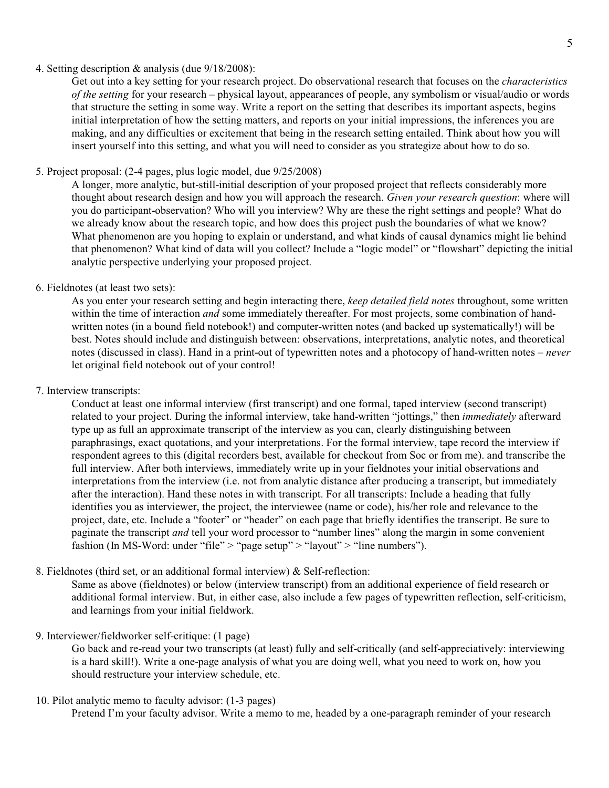## 4. Setting description & analysis (due 9/18/2008):

Get out into a key setting for your research project. Do observational research that focuses on the *characteristics of the setting* for your research – physical layout, appearances of people, any symbolism or visual/audio or words that structure the setting in some way. Write a report on the setting that describes its important aspects, begins initial interpretation of how the setting matters, and reports on your initial impressions, the inferences you are making, and any difficulties or excitement that being in the research setting entailed. Think about how you will insert yourself into this setting, and what you will need to consider as you strategize about how to do so.

# 5. Project proposal: (2-4 pages, plus logic model, due 9/25/2008)

A longer, more analytic, but-still-initial description of your proposed project that reflects considerably more thought about research design and how you will approach the research. *Given your research question*: where will you do participant-observation? Who will you interview? Why are these the right settings and people? What do we already know about the research topic, and how does this project push the boundaries of what we know? What phenomenon are you hoping to explain or understand, and what kinds of causal dynamics might lie behind that phenomenon? What kind of data will you collect? Include a "logic model" or "flowshart" depicting the initial analytic perspective underlying your proposed project.

## 6. Fieldnotes (at least two sets):

As you enter your research setting and begin interacting there, *keep detailed field notes* throughout, some written within the time of interaction *and* some immediately thereafter. For most projects, some combination of handwritten notes (in a bound field notebook!) and computer-written notes (and backed up systematically!) will be best. Notes should include and distinguish between: observations, interpretations, analytic notes, and theoretical notes (discussed in class). Hand in a print-out of typewritten notes and a photocopy of hand-written notes – *never* let original field notebook out of your control!

## 7. Interview transcripts:

Conduct at least one informal interview (first transcript) and one formal, taped interview (second transcript) related to your project. During the informal interview, take hand-written "jottings," then *immediately* afterward type up as full an approximate transcript of the interview as you can, clearly distinguishing between paraphrasings, exact quotations, and your interpretations. For the formal interview, tape record the interview if respondent agrees to this (digital recorders best, available for checkout from Soc or from me). and transcribe the full interview. After both interviews, immediately write up in your fieldnotes your initial observations and interpretations from the interview (i.e. not from analytic distance after producing a transcript, but immediately after the interaction). Hand these notes in with transcript. For all transcripts: Include a heading that fully identifies you as interviewer, the project, the interviewee (name or code), his/her role and relevance to the project, date, etc. Include a "footer" or "header" on each page that briefly identifies the transcript. Be sure to paginate the transcript *and* tell your word processor to "number lines" along the margin in some convenient fashion (In MS-Word: under "file" > "page setup" > "layout" > "line numbers").

8. Fieldnotes (third set, or an additional formal interview) & Self-reflection:

Same as above (fieldnotes) or below (interview transcript) from an additional experience of field research or additional formal interview. But, in either case, also include a few pages of typewritten reflection, self-criticism, and learnings from your initial fieldwork.

# 9. Interviewer/fieldworker self-critique: (1 page)

Go back and re-read your two transcripts (at least) fully and self-critically (and self-appreciatively: interviewing is a hard skill!). Write a one-page analysis of what you are doing well, what you need to work on, how you should restructure your interview schedule, etc.

## 10. Pilot analytic memo to faculty advisor: (1-3 pages)

Pretend I'm your faculty advisor. Write a memo to me, headed by a one-paragraph reminder of your research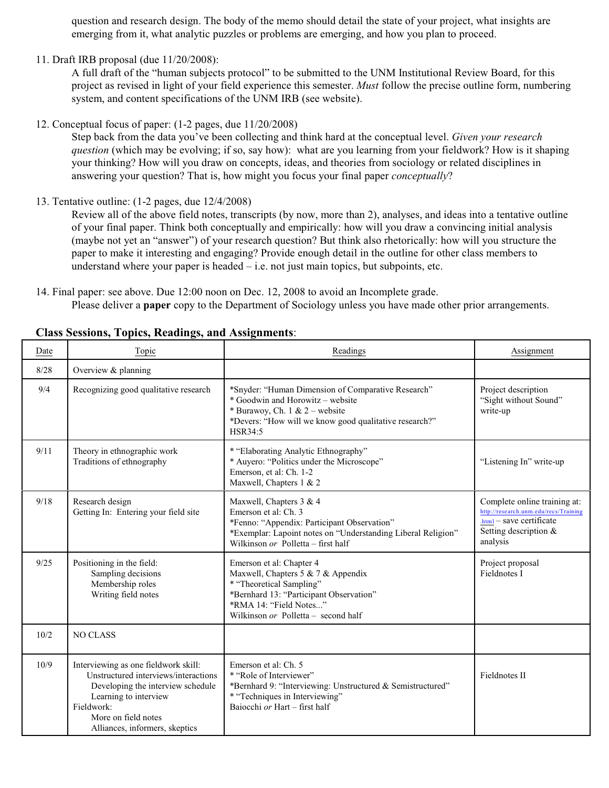question and research design. The body of the memo should detail the state of your project, what insights are emerging from it, what analytic puzzles or problems are emerging, and how you plan to proceed.

11. Draft IRB proposal (due 11/20/2008):

A full draft of the "human subjects protocol" to be submitted to the UNM Institutional Review Board, for this project as revised in light of your field experience this semester. *Must* follow the precise outline form, numbering system, and content specifications of the UNM IRB (see website).

12. Conceptual focus of paper: (1-2 pages, due 11/20/2008)

Step back from the data you've been collecting and think hard at the conceptual level. *Given your research question* (which may be evolving; if so, say how): what are you learning from your fieldwork? How is it shaping your thinking? How will you draw on concepts, ideas, and theories from sociology or related disciplines in answering your question? That is, how might you focus your final paper *conceptually*?

13. Tentative outline: (1-2 pages, due 12/4/2008)

Review all of the above field notes, transcripts (by now, more than 2), analyses, and ideas into a tentative outline of your final paper. Think both conceptually and empirically: how will you draw a convincing initial analysis (maybe not yet an "answer") of your research question? But think also rhetorically: how will you structure the paper to make it interesting and engaging? Provide enough detail in the outline for other class members to understand where your paper is headed  $-$  i.e. not just main topics, but subpoints, etc.

14. Final paper: see above. Due 12:00 noon on Dec. 12, 2008 to avoid an Incomplete grade. Please deliver a **paper** copy to the Department of Sociology unless you have made other prior arrangements.

| Date | Topic                                                                                                                                                                                                             | Readings                                                                                                                                                                                               | Assignment                                                                                                                             |
|------|-------------------------------------------------------------------------------------------------------------------------------------------------------------------------------------------------------------------|--------------------------------------------------------------------------------------------------------------------------------------------------------------------------------------------------------|----------------------------------------------------------------------------------------------------------------------------------------|
| 8/28 | Overview & planning                                                                                                                                                                                               |                                                                                                                                                                                                        |                                                                                                                                        |
| 9/4  | Recognizing good qualitative research                                                                                                                                                                             | *Snyder: "Human Dimension of Comparative Research"<br>* Goodwin and Horowitz - website<br>* Burawoy, Ch. 1 & 2 – website<br>*Devers: "How will we know good qualitative research?"<br>HSR34:5          | Project description<br>"Sight without Sound"<br>write-up                                                                               |
| 9/11 | Theory in ethnographic work<br>Traditions of ethnography                                                                                                                                                          | * "Elaborating Analytic Ethnography"<br>* Auyero: "Politics under the Microscope"<br>Emerson, et al: Ch. 1-2<br>Maxwell, Chapters 1 & 2                                                                | "Listening In" write-up                                                                                                                |
| 9/18 | Research design<br>Getting In: Entering your field site                                                                                                                                                           | Maxwell, Chapters 3 & 4<br>Emerson et al: Ch. 3<br>*Fenno: "Appendix: Participant Observation"<br>*Exemplar: Lapoint notes on "Understanding Liberal Religion"<br>Wilkinson or Polletta – first half   | Complete online training at:<br>http://research.unm.edu/recs/Training<br>.html - save certificate<br>Setting description &<br>analysis |
| 9/25 | Positioning in the field:<br>Sampling decisions<br>Membership roles<br>Writing field notes                                                                                                                        | Emerson et al: Chapter 4<br>Maxwell, Chapters 5 & 7 & Appendix<br>* "Theoretical Sampling"<br>*Bernhard 13: "Participant Observation"<br>*RMA 14: "Field Notes"<br>Wilkinson or Polletta – second half | Project proposal<br>Fieldnotes I                                                                                                       |
| 10/2 | <b>NO CLASS</b>                                                                                                                                                                                                   |                                                                                                                                                                                                        |                                                                                                                                        |
| 10/9 | Interviewing as one fieldwork skill:<br>Unstructured interviews/interactions<br>Developing the interview schedule<br>Learning to interview<br>Fieldwork:<br>More on field notes<br>Alliances, informers, skeptics | Emerson et al: Ch. 5<br>* "Role of Interviewer"<br>*Bernhard 9: "Interviewing: Unstructured & Semistructured"<br>* "Techniques in Interviewing"<br>Baiocchi or Hart – first half                       | <b>Fieldnotes II</b>                                                                                                                   |

# **Class Sessions, Topics, Readings, and Assignments**: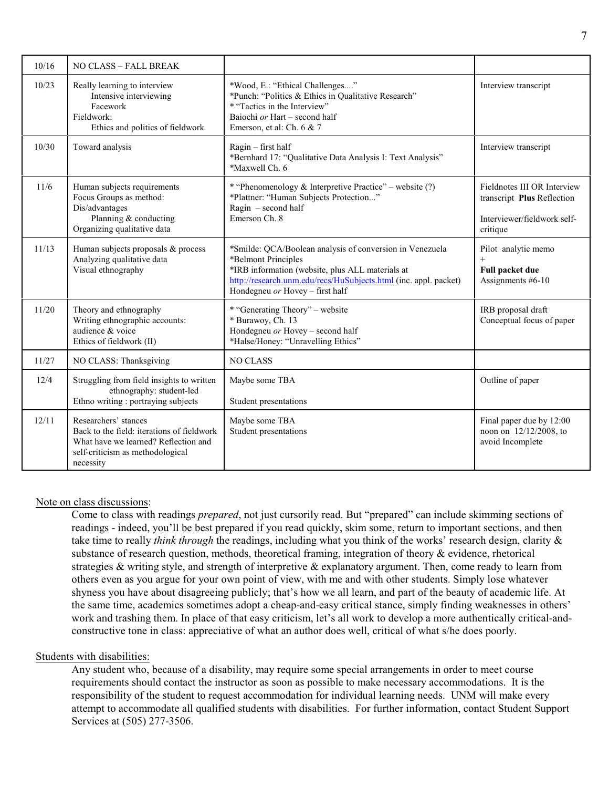| 10/16 | NO CLASS - FALL BREAK                                                                                                                                       |                                                                                                                                                                                                                                            |                                                                                                      |
|-------|-------------------------------------------------------------------------------------------------------------------------------------------------------------|--------------------------------------------------------------------------------------------------------------------------------------------------------------------------------------------------------------------------------------------|------------------------------------------------------------------------------------------------------|
| 10/23 | Really learning to interview<br>Intensive interviewing<br>Facework<br>Fieldwork:<br>Ethics and politics of fieldwork                                        | *Wood, E.: "Ethical Challenges"<br>*Punch: "Politics & Ethics in Qualitative Research"<br>* "Tactics in the Interview"<br>Baiochi or Hart - second half<br>Emerson, et al: Ch. 6 & 7                                                       | Interview transcript                                                                                 |
| 10/30 | Toward analysis                                                                                                                                             | Ragin - first half<br>*Bernhard 17: "Qualitative Data Analysis I: Text Analysis"<br>*Maxwell Ch. 6                                                                                                                                         | Interview transcript                                                                                 |
| 11/6  | Human subjects requirements<br>Focus Groups as method:<br>Dis/advantages<br>Planning & conducting<br>Organizing qualitative data                            | * "Phenomenology & Interpretive Practice" – website (?)<br>*Plattner: "Human Subjects Protection"<br>Ragin $-$ second half<br>Emerson Ch. 8                                                                                                | Fieldnotes III OR Interview<br>transcript Plus Reflection<br>Interviewer/fieldwork self-<br>critique |
| 11/13 | Human subjects proposals & process<br>Analyzing qualitative data<br>Visual ethnography                                                                      | *Smilde: QCA/Boolean analysis of conversion in Venezuela<br>*Belmont Principles<br>*IRB information (website, plus ALL materials at<br>http://research.unm.edu/recs/HuSubjects.html (inc. appl. packet)<br>Hondegneu or Hovey - first half | Pilot analytic memo<br>$^{+}$<br>Full packet due<br>Assignments #6-10                                |
| 11/20 | Theory and ethnography<br>Writing ethnographic accounts:<br>audience & voice<br>Ethics of fieldwork (II)                                                    | * "Generating Theory" - website<br>* Burawoy, Ch. 13<br>Hondegneu or Hovey - second half<br>*Halse/Honey: "Unravelling Ethics"                                                                                                             | IRB proposal draft<br>Conceptual focus of paper                                                      |
| 11/27 | NO CLASS: Thanksgiving                                                                                                                                      | <b>NO CLASS</b>                                                                                                                                                                                                                            |                                                                                                      |
| 12/4  | Struggling from field insights to written<br>ethnography: student-led<br>Ethno writing : portraying subjects                                                | Maybe some TBA<br>Student presentations                                                                                                                                                                                                    | Outline of paper                                                                                     |
| 12/11 | Researchers' stances<br>Back to the field: iterations of fieldwork<br>What have we learned? Reflection and<br>self-criticism as methodological<br>necessity | Maybe some TBA<br>Student presentations                                                                                                                                                                                                    | Final paper due by 12:00<br>noon on 12/12/2008, to<br>avoid Incomplete                               |

### Note on class discussions:

Come to class with readings *prepared*, not just cursorily read. But "prepared" can include skimming sections of readings - indeed, you'll be best prepared if you read quickly, skim some, return to important sections, and then take time to really *think through* the readings, including what you think of the works' research design, clarity & substance of research question, methods, theoretical framing, integration of theory & evidence, rhetorical strategies  $\&$  writing style, and strength of interpretive  $\&$  explanatory argument. Then, come ready to learn from others even as you argue for your own point of view, with me and with other students. Simply lose whatever shyness you have about disagreeing publicly; that's how we all learn, and part of the beauty of academic life. At the same time, academics sometimes adopt a cheap-and-easy critical stance, simply finding weaknesses in others' work and trashing them. In place of that easy criticism, let's all work to develop a more authentically critical-andconstructive tone in class: appreciative of what an author does well, critical of what s/he does poorly.

## Students with disabilities:

Any student who, because of a disability, may require some special arrangements in order to meet course requirements should contact the instructor as soon as possible to make necessary accommodations. It is the responsibility of the student to request accommodation for individual learning needs. UNM will make every attempt to accommodate all qualified students with disabilities. For further information, contact Student Support Services at (505) 277-3506.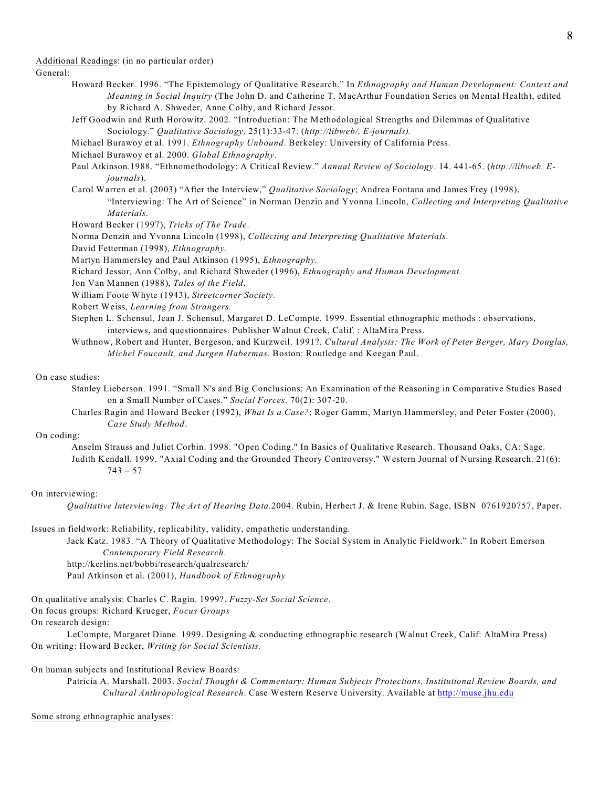Additional Readings: (in no particular order)

#### General:

- Howard Becker. 1996. "The Epistemology of Qualitative Research." In *Ethnography and Human Development: Context and Meaning in Social Inquiry* (The John D. and Catherine T. MacArthur Foundation Series on Mental Health), edited by Richard A. Shweder, Anne Colby, and Richard Jessor.
- Jeff Goodwin and Ruth Horowitz. 2002. "Introduction: The Methodological Strengths and Dilemmas of Qualitative Sociology." *Qualitative Sociology*. 25(1):33-47. (*http://libweb/, E-journals).*
- Michael Burawoy et al. 1991. *Ethnography Unbound*. Berkeley: University of California Press.
- Michael Burawoy et al. 2000. *Global Ethnography*.
- Paul Atkinson.1988. "Ethnomethodology: A Critical Review." Annual Review of Sociology. 14. 441-65. (http://libweb, E*journals*).
- Carol Warren et al. (2003) "After the Interview," *Qualitative Sociology*; Andrea Fontana and James Frey (1998), "Interviewing: The Art of Science" in Norman Denzin and Yvonna Lincoln, *Collecting and Interpreting Qualitative Materials*.
- Howard Becker (1997), *Tricks of The Trade*.
- Norma Denzin and Yvonna Lincoln (1998), *Collecting and Interpreting Qualitative Materials*.
- David Fetterman (1998), *Ethnography.*
- Martyn Hammersley and Paul Atkinson (1995), *Ethnography.*
- Richard Jessor, Ann Colby, and Richard Shweder (1996), *Ethnography and Human Development.*
- Jon Van Mannen (1988), *Tales of the Field*.
- William Foote Whyte (1943), *Streetcorner Society*.
- Robert Weiss, *Learning from Strangers.*
- Stephen L. Schensul, Jean J. Schensul, Margaret D. LeCompte. 1999. Essential ethnographic methods : observations, interviews, and questionnaires. Publisher Walnut Creek, Calif. : AltaMira Press.
- Wuthnow, Robert and Hunter, Bergeson, and Kurzweil. 1991?. *Cultural Analysis: The Work of Peter Berger, Mary Douglas, Michel Foucault, and Jurgen Habermas*. Boston: Routledge and Keegan Paul.

#### On case studies:

- Stanley Lieberson. 1991. "Small N's and Big Conclusions: An Examination of the Reasoning in Comparative Studies Based on a Small Number of Cases." *Social Forces*. 70(2): 307-20.
- Charles Ragin and Howard Becker (1992), *What Is a Case?*; Roger Gamm, Martyn Hammersley, and Peter Foster (2000), *Case Study Method*.

#### On coding:

Anselm Strauss and Juliet Corbin. 1998. "Open Coding." In Basics of Qualitative Research. Thousand Oaks, CA: Sage. Judith Kendall. 1999. "Axial Coding and the Grounded Theory Controversy." Western Journal of Nursing Research. 21(6):  $743 - 57$ 

#### On interviewing:

*Qualitative Interviewing: The Art of Hearing Data.*2004. Rubin, Herbert J. & Irene Rubin. Sage, ISBN 0761920757, Paper.

#### Issues in fieldwork: Reliability, replicability, validity, empathetic understanding.

- Jack Katz. 1983. "A Theory of Qualitative Methodology: The Social System in Analytic Fieldwork." In Robert Emerson *Contemporary Field Research*.
- http://kerlins.net/bobbi/research/qualresearch/
- Paul Atkinson et al. (2001), *Handbook of Ethnography*
- On qualitative analysis: Charles C. Ragin. 1999?. *Fuzzy-Set Social Science*.
- On focus groups: Richard Krueger, *Focus Groups*
- On research design:
- LeCompte, Margaret Diane. 1999. Designing & conducting ethnographic research (Walnut Creek, Calif: AltaMira Press) On writing: Howard Becker, *Writing for Social Scientists.*

#### On human subjects and Institutional Review Boards:

Patricia A. Marshall. 2003. *Social Thought & Commentary: Human Subjects Protections, Institutional Review Boards, and Cultural Anthropological Research*. Case Western Reserve University. Available at <http://muse.jhu.edu>

#### Some strong ethnographic analyses: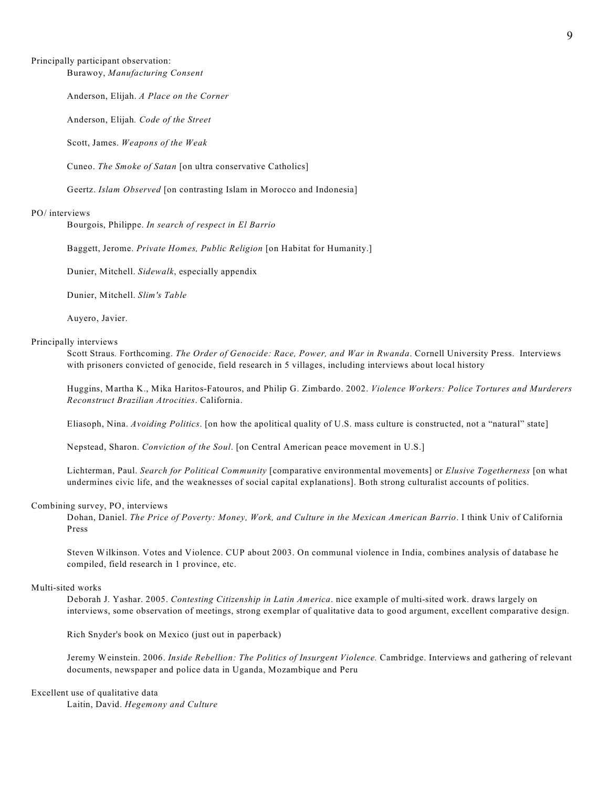### Principally participant observation:

Burawoy, *Manufacturing Consent*

Anderson, Elijah. *A Place on the Corner*

Anderson, Elijah*. Code of the Street*

Scott, James. *Weapons of the Weak*

Cuneo. *The Smoke of Satan* [on ultra conservative Catholics]

Geertz. *Islam Observed* [on contrasting Islam in Morocco and Indonesia]

#### PO/ interviews

Bourgois, Philippe. *In search of respect in El Barrio*

Baggett, Jerome. *Private Homes, Public Religion* [on Habitat for Humanity.]

Dunier, Mitchell. *Sidewalk*, especially appendix

Dunier, Mitchell. *Slim's Table*

Auyero, Javier.

### Principally interviews

Scott Straus*.* Forthcoming. *The Order of Genocide: Race, Power, and War in Rwanda*. Cornell University Press. Interviews with prisoners convicted of genocide, field research in 5 villages, including interviews about local history

Huggins, Martha K., Mika Haritos-Fatouros, and Philip G. Zimbardo. 2002. *Violence Workers: Police Tortures and Murderers Reconstruct Brazilian Atrocities*. California.

Eliasoph, Nina. *Avoiding Politics*. [on how the apolitical quality of U.S. mass culture is constructed, not a "natural" state]

Nepstead, Sharon. *Conviction of the Soul*. [on Central American peace movement in U.S.]

Lichterman, Paul. *Search for Political Community* [comparative environmental movements] or *Elusive Togetherness* [on what undermines civic life, and the weaknesses of social capital explanations]. Both strong culturalist accounts of politics.

#### Combining survey, PO, interviews

Dohan, Daniel. *The Price of Poverty: Money, Work, and Culture in the Mexican American Barrio*. I think Univ of California Press

Steven Wilkinson. Votes and Violence. CUP about 2003. On communal violence in India, combines analysis of database he compiled, field research in 1 province, etc.

#### Multi-sited works

Deborah J. Yashar. 2005. *Contesting Citizenship in Latin America*. nice example of multi-sited work. draws largely on interviews, some observation of meetings, strong exemplar of qualitative data to good argument, excellent comparative design.

Rich Snyder's book on Mexico (just out in paperback)

Jeremy Weinstein. 2006. *Inside Rebellion: The Politics of Insurgent Violence.* Cambridge. Interviews and gathering of relevant documents, newspaper and police data in Uganda, Mozambique and Peru

#### Excellent use of qualitative data

Laitin, David. *Hegemony and Culture*